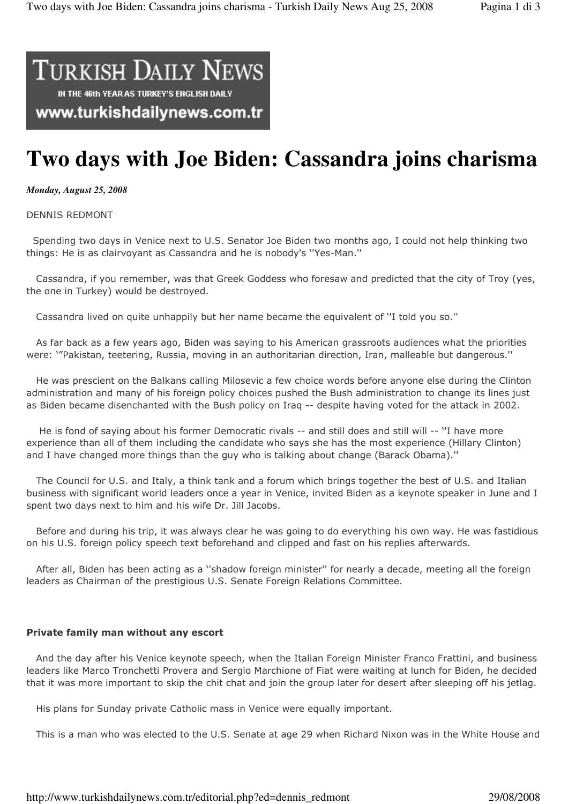## **TURKISH DAILY NEWS** IN THE 46th YEAR AS TURKEY'S ENGLISH DAILY www.turkishdailynews.com.tr

# **Two days with Joe Biden: Cassandra joins charisma**

#### *Monday, August 25, 2008*

#### DENNIS REDMONT

 Spending two days in Venice next to U.S. Senator Joe Biden two months ago, I could not help thinking two things: He is as clairvoyant as Cassandra and he is nobody's ''Yes-Man.''

 Cassandra, if you remember, was that Greek Goddess who foresaw and predicted that the city of Troy (yes, the one in Turkey) would be destroyed.

Cassandra lived on quite unhappily but her name became the equivalent of ''I told you so.''

 As far back as a few years ago, Biden was saying to his American grassroots audiences what the priorities were: '"Pakistan, teetering, Russia, moving in an authoritarian direction, Iran, malleable but dangerous.''

 He was prescient on the Balkans calling Milosevic a few choice words before anyone else during the Clinton administration and many of his foreign policy choices pushed the Bush administration to change its lines just as Biden became disenchanted with the Bush policy on Iraq -- despite having voted for the attack in 2002.

 He is fond of saying about his former Democratic rivals -- and still does and still will -- ''I have more experience than all of them including the candidate who says she has the most experience (Hillary Clinton) and I have changed more things than the guy who is talking about change (Barack Obama).''

 The Council for U.S. and Italy, a think tank and a forum which brings together the best of U.S. and Italian business with significant world leaders once a year in Venice, invited Biden as a keynote speaker in June and I spent two days next to him and his wife Dr. Jill Jacobs.

 Before and during his trip, it was always clear he was going to do everything his own way. He was fastidious on his U.S. foreign policy speech text beforehand and clipped and fast on his replies afterwards.

 After all, Biden has been acting as a ''shadow foreign minister'' for nearly a decade, meeting all the foreign leaders as Chairman of the prestigious U.S. Senate Foreign Relations Committee.

#### Private family man without any escort

 And the day after his Venice keynote speech, when the Italian Foreign Minister Franco Frattini, and business leaders like Marco Tronchetti Provera and Sergio Marchione of Fiat were waiting at lunch for Biden, he decided that it was more important to skip the chit chat and join the group later for desert after sleeping off his jetlag.

His plans for Sunday private Catholic mass in Venice were equally important.

This is a man who was elected to the U.S. Senate at age 29 when Richard Nixon was in the White House and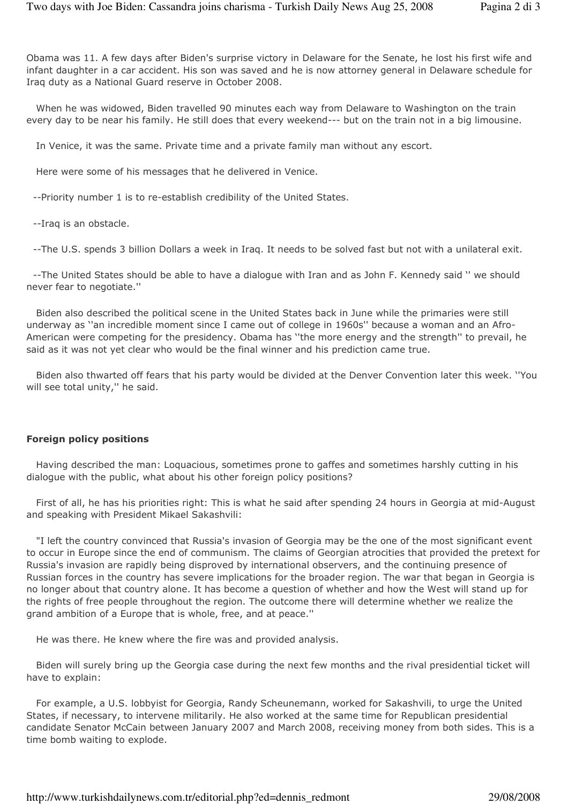Obama was 11. A few days after Biden's surprise victory in Delaware for the Senate, he lost his first wife and infant daughter in a car accident. His son was saved and he is now attorney general in Delaware schedule for Iraq duty as a National Guard reserve in October 2008.

 When he was widowed, Biden travelled 90 minutes each way from Delaware to Washington on the train every day to be near his family. He still does that every weekend--- but on the train not in a big limousine.

In Venice, it was the same. Private time and a private family man without any escort.

Here were some of his messages that he delivered in Venice.

--Priority number 1 is to re-establish credibility of the United States.

--Iraq is an obstacle.

--The U.S. spends 3 billion Dollars a week in Iraq. It needs to be solved fast but not with a unilateral exit.

 --The United States should be able to have a dialogue with Iran and as John F. Kennedy said '' we should never fear to negotiate.''

 Biden also described the political scene in the United States back in June while the primaries were still underway as ''an incredible moment since I came out of college in 1960s'' because a woman and an Afro-American were competing for the presidency. Obama has ''the more energy and the strength'' to prevail, he said as it was not yet clear who would be the final winner and his prediction came true.

 Biden also thwarted off fears that his party would be divided at the Denver Convention later this week. ''You will see total unity," he said.

#### Foreign policy positions

 Having described the man: Loquacious, sometimes prone to gaffes and sometimes harshly cutting in his dialogue with the public, what about his other foreign policy positions?

 First of all, he has his priorities right: This is what he said after spending 24 hours in Georgia at mid-August and speaking with President Mikael Sakashvili:

 "I left the country convinced that Russia's invasion of Georgia may be the one of the most significant event to occur in Europe since the end of communism. The claims of Georgian atrocities that provided the pretext for Russia's invasion are rapidly being disproved by international observers, and the continuing presence of Russian forces in the country has severe implications for the broader region. The war that began in Georgia is no longer about that country alone. It has become a question of whether and how the West will stand up for the rights of free people throughout the region. The outcome there will determine whether we realize the grand ambition of a Europe that is whole, free, and at peace.''

He was there. He knew where the fire was and provided analysis.

 Biden will surely bring up the Georgia case during the next few months and the rival presidential ticket will have to explain:

 For example, a U.S. lobbyist for Georgia, Randy Scheunemann, worked for Sakashvili, to urge the United States, if necessary, to intervene militarily. He also worked at the same time for Republican presidential candidate Senator McCain between January 2007 and March 2008, receiving money from both sides. This is a time bomb waiting to explode.